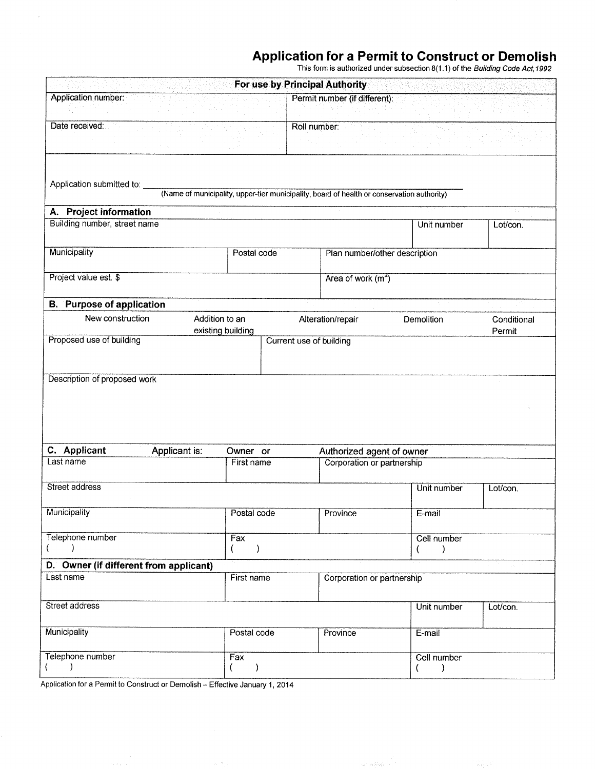## Application for a Permit to Gonstruct or Demolish

This form is authorized under subsection 8(1.1) of the Building Code Act,1992

|                                                            |                                                                                            |                        |                         |              | For use by Principal Authority                          |  |                  |                       |
|------------------------------------------------------------|--------------------------------------------------------------------------------------------|------------------------|-------------------------|--------------|---------------------------------------------------------|--|------------------|-----------------------|
| Application number:                                        |                                                                                            |                        |                         |              | Permit number (if different):                           |  |                  |                       |
| Date received:                                             |                                                                                            |                        |                         | Roll number: |                                                         |  |                  |                       |
| Application submitted to:                                  | (Name of municipality, upper-tier municipality, board of health or conservation authority) |                        |                         |              |                                                         |  |                  |                       |
| A. Project information                                     |                                                                                            |                        |                         |              |                                                         |  |                  |                       |
| Building number, street name                               |                                                                                            |                        |                         |              |                                                         |  | Unit number      | Lot/con.              |
| Municipality                                               |                                                                                            | Postal code            |                         |              | Plan number/other description                           |  |                  |                       |
| Project value est. \$                                      |                                                                                            |                        |                         |              | Area of work $(m2)$                                     |  |                  |                       |
| <b>B.</b> Purpose of application                           |                                                                                            |                        |                         |              |                                                         |  |                  |                       |
| New construction                                           | Addition to an                                                                             | existing building      |                         |              | Alteration/repair                                       |  | Demolition       | Conditional<br>Permit |
| Proposed use of building                                   |                                                                                            |                        | Current use of building |              |                                                         |  |                  |                       |
| C. Applicant                                               |                                                                                            |                        |                         |              |                                                         |  |                  |                       |
| Last name                                                  | Applicant is:                                                                              | Owner or<br>First name |                         |              | Authorized agent of owner<br>Corporation or partnership |  |                  |                       |
|                                                            |                                                                                            |                        |                         |              |                                                         |  |                  |                       |
| Street address                                             |                                                                                            |                        |                         |              |                                                         |  | Unit number      | Lot/con.              |
| Municipality                                               |                                                                                            | Postal code            |                         |              | Province                                                |  | E-mail           |                       |
| Telephone number<br>Fax<br>$\rightarrow$<br>$\lambda$<br>€ |                                                                                            |                        | Cell number<br>)        |              |                                                         |  |                  |                       |
| D. Owner (if different from applicant)                     |                                                                                            |                        |                         |              |                                                         |  |                  | Λ.                    |
| Last name                                                  |                                                                                            | First name             |                         |              | Corporation or partnership                              |  |                  |                       |
| Street address                                             |                                                                                            |                        |                         |              |                                                         |  | Unit number      | Lot/con.              |
| Municipality                                               |                                                                                            | Postal code            |                         |              | Province                                                |  | E-mail           |                       |
| Telephone number                                           |                                                                                            | Fax<br>$\mathcal{E}$   |                         |              |                                                         |  | Cell number<br>) |                       |

Application for a Permit to Construct or Demolish - Effective January 1, 2014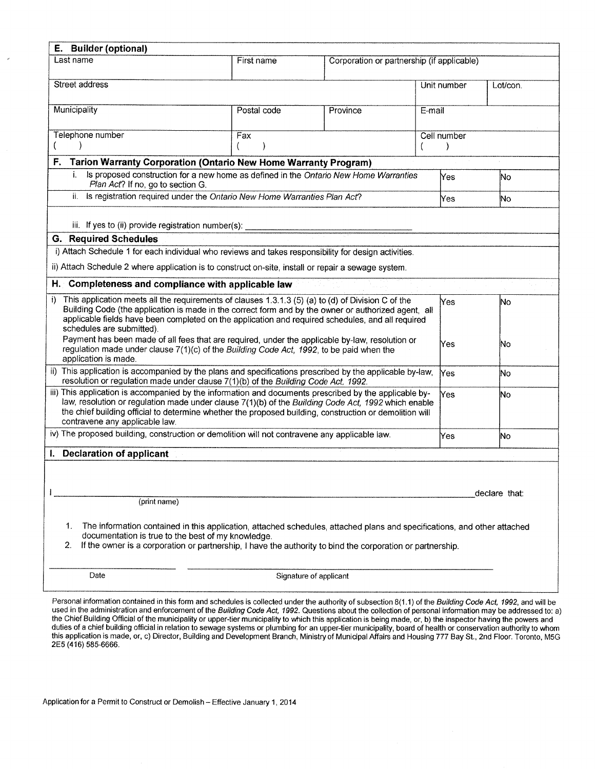| E. Builder (optional)                                                                                                                                                                                                                                                                                                                                                    |                     |                                            |                              |  |          |  |  |
|--------------------------------------------------------------------------------------------------------------------------------------------------------------------------------------------------------------------------------------------------------------------------------------------------------------------------------------------------------------------------|---------------------|--------------------------------------------|------------------------------|--|----------|--|--|
| Last name                                                                                                                                                                                                                                                                                                                                                                | First name          | Corporation or partnership (if applicable) |                              |  |          |  |  |
| Street address                                                                                                                                                                                                                                                                                                                                                           |                     |                                            | Unit number                  |  | Lot/con. |  |  |
| Municipality                                                                                                                                                                                                                                                                                                                                                             | Postal code         | Province                                   | E-mail                       |  |          |  |  |
| Telephone number                                                                                                                                                                                                                                                                                                                                                         | Fax<br><sup>(</sup> |                                            | Cell number<br>$\mathcal{E}$ |  |          |  |  |
| <b>Tarion Warranty Corporation (Ontario New Home Warranty Program)</b><br>F.                                                                                                                                                                                                                                                                                             |                     |                                            |                              |  |          |  |  |
| Is proposed construction for a new home as defined in the Ontario New Home Warranties<br>i.<br>Plan Act? If no, go to section G.                                                                                                                                                                                                                                         |                     |                                            | Yes                          |  | No.      |  |  |
| ii.<br>Is registration required under the Ontario New Home Warranties Plan Act?                                                                                                                                                                                                                                                                                          |                     |                                            | Yes                          |  | No       |  |  |
| iii. If yes to (ii) provide registration number(s): _____________                                                                                                                                                                                                                                                                                                        |                     |                                            |                              |  |          |  |  |
| <b>G.</b> Required Schedules                                                                                                                                                                                                                                                                                                                                             |                     |                                            |                              |  |          |  |  |
| i) Attach Schedule 1 for each individual who reviews and takes responsibility for design activities.                                                                                                                                                                                                                                                                     |                     |                                            |                              |  |          |  |  |
| ii) Attach Schedule 2 where application is to construct on-site, install or repair a sewage system.                                                                                                                                                                                                                                                                      |                     |                                            |                              |  |          |  |  |
| Completeness and compliance with applicable law<br>Н.                                                                                                                                                                                                                                                                                                                    |                     |                                            |                              |  |          |  |  |
| This application meets all the requirements of clauses 1.3.1.3 (5) (a) to (d) of Division C of the<br>$i$ )<br>Yes<br>lNo.<br>Building Code (the application is made in the correct form and by the owner or authorized agent, all<br>applicable fields have been completed on the application and required schedules, and all required<br>schedules are submitted).     |                     |                                            |                              |  |          |  |  |
| Payment has been made of all fees that are required, under the applicable by-law, resolution or<br>Yes<br>No<br>regulation made under clause 7(1)(c) of the Building Code Act, 1992, to be paid when the<br>application is made.                                                                                                                                         |                     |                                            |                              |  |          |  |  |
| ii) This application is accompanied by the plans and specifications prescribed by the applicable by-law,<br>Yes<br>lNo.<br>resolution or regulation made under clause 7(1)(b) of the Building Code Act, 1992.                                                                                                                                                            |                     |                                            |                              |  |          |  |  |
| iii) This application is accompanied by the information and documents prescribed by the applicable by-<br>Yes<br>lNo<br>law, resolution or regulation made under clause 7(1)(b) of the Building Code Act, 1992 which enable<br>the chief building official to determine whether the proposed building, construction or demolition will<br>contravene any applicable law. |                     |                                            |                              |  |          |  |  |
| iv) The proposed building, construction or demolition will not contravene any applicable law.<br>Yes<br>İNo.                                                                                                                                                                                                                                                             |                     |                                            |                              |  |          |  |  |
| I. Declaration of applicant                                                                                                                                                                                                                                                                                                                                              |                     |                                            |                              |  |          |  |  |
| declare that:                                                                                                                                                                                                                                                                                                                                                            |                     |                                            |                              |  |          |  |  |
| (print name)                                                                                                                                                                                                                                                                                                                                                             |                     |                                            |                              |  |          |  |  |
| The information contained in this application, attached schedules, attached plans and specifications, and other attached<br>1.<br>documentation is true to the best of my knowledge.<br>If the owner is a corporation or partnership, I have the authority to bind the corporation or partnership.<br>2.                                                                 |                     |                                            |                              |  |          |  |  |
| Date<br>Signature of applicant                                                                                                                                                                                                                                                                                                                                           |                     |                                            |                              |  |          |  |  |

Personal information contained in this form and schedules is collected under the authority of subsection 8(1.1) of the *Building Code Act, 1992*, and will be<br>used in the administration and enforcement of the *Building Code* the Chief Building Official of the municipality or upper-tier municipality to which this application is being made, or, b) the inspector having the powers and duties of a chief building official in relation to sewage systems or plumbing for an upper-tier municipality, board of health or conservation authority to whon this application is made, or, c) Director, Building and Development Branch, Ministry of Municipal Affairs and Housing 777 Bay St., 2nd Floor. Toronto, MSG 2E5 (416) 585-6666.

Application for a Permit to Construct or Demolish - Effective January 1, 2014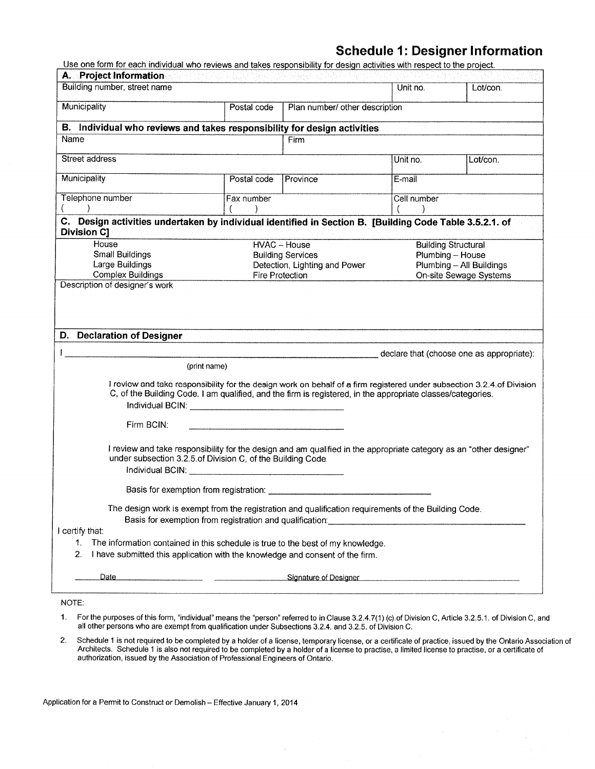# Schedule 1: Designer lnformation

Use one form for each individual who reviews and takes responsibility for design activities with respect to the project

| Building number, street name<br>Municipality                                                                                                                                                                                                                                                                                                                                                                         |                                               |                               | Unit no.    |                                           |  |
|----------------------------------------------------------------------------------------------------------------------------------------------------------------------------------------------------------------------------------------------------------------------------------------------------------------------------------------------------------------------------------------------------------------------|-----------------------------------------------|-------------------------------|-------------|-------------------------------------------|--|
|                                                                                                                                                                                                                                                                                                                                                                                                                      |                                               |                               |             | Lot/con.                                  |  |
|                                                                                                                                                                                                                                                                                                                                                                                                                      | Postal code<br>Plan number/ other description |                               |             |                                           |  |
|                                                                                                                                                                                                                                                                                                                                                                                                                      |                                               |                               |             |                                           |  |
| B. Individual who reviews and takes responsibility for design activities                                                                                                                                                                                                                                                                                                                                             |                                               |                               |             |                                           |  |
| Name                                                                                                                                                                                                                                                                                                                                                                                                                 |                                               | Firm                          |             |                                           |  |
| Street address                                                                                                                                                                                                                                                                                                                                                                                                       |                                               |                               | Unit no.    | Lot/con.                                  |  |
| Municipality                                                                                                                                                                                                                                                                                                                                                                                                         | Postal code                                   | Province                      | E-mail      |                                           |  |
| Telephone number                                                                                                                                                                                                                                                                                                                                                                                                     | Fax number                                    |                               | Cell number |                                           |  |
| C. Design activities undertaken by individual identified in Section B. [Building Code Table 3.5.2.1. of<br><b>Division C]</b>                                                                                                                                                                                                                                                                                        |                                               |                               |             |                                           |  |
| House                                                                                                                                                                                                                                                                                                                                                                                                                |                                               | HVAC - House                  |             | <b>Building Structural</b>                |  |
| Small Buildings                                                                                                                                                                                                                                                                                                                                                                                                      |                                               | <b>Building Services</b>      |             | Plumbing - House                          |  |
| Large Buildings                                                                                                                                                                                                                                                                                                                                                                                                      |                                               | Detection, Lighting and Power |             | Plumbing - All Buildings                  |  |
| <b>Complex Buildings</b>                                                                                                                                                                                                                                                                                                                                                                                             |                                               | Fire Protection               |             | On-site Sewage Systems                    |  |
|                                                                                                                                                                                                                                                                                                                                                                                                                      |                                               |                               |             |                                           |  |
| D. Declaration of Designer                                                                                                                                                                                                                                                                                                                                                                                           |                                               |                               |             |                                           |  |
|                                                                                                                                                                                                                                                                                                                                                                                                                      |                                               |                               |             | declare that (choose one as appropriate): |  |
| (print name)                                                                                                                                                                                                                                                                                                                                                                                                         |                                               |                               |             |                                           |  |
| I review and take responsibility for the design work on behalf of a firm registered under subsection 3.2.4 of Division<br>C, of the Building Code. I am qualified, and the firm is registered, in the appropriate classes/categories.                                                                                                                                                                                |                                               |                               |             |                                           |  |
| Firm BCIN:                                                                                                                                                                                                                                                                                                                                                                                                           |                                               |                               |             |                                           |  |
| I review and take responsibility for the design and am qualified in the appropriate category as an "other designer"<br>under subsection 3.2.5 of Division C, of the Building Code.<br>Individual BCIN: University of the Contract of the Contract of the Contract of the Contract of the Contract of the Contract of the Contract of the Contract of the Contract of the Contract of the Contract of the Contract of |                                               |                               |             |                                           |  |
| Basis for exemption from registration:                                                                                                                                                                                                                                                                                                                                                                               |                                               |                               |             |                                           |  |
| The design work is exempt from the registration and qualification requirements of the Building Code.<br>Basis for exemption from registration and qualification:                                                                                                                                                                                                                                                     |                                               |                               |             |                                           |  |
| I certify that:                                                                                                                                                                                                                                                                                                                                                                                                      |                                               |                               |             |                                           |  |
| 1.<br>The information contained in this schedule is true to the best of my knowledge.<br>2.<br>I have submitted this application with the knowledge and consent of the firm.                                                                                                                                                                                                                                         |                                               |                               |             |                                           |  |
| Date<br>Signature of Designer<br>Signature of Designer                                                                                                                                                                                                                                                                                                                                                               |                                               |                               |             |                                           |  |

NOTE:

- <sup>1</sup>. For the purposes of this form, "individual" means the "person" refened to in Clause 3.2.4.7 (1) (c).of Division C, Article 3.2.5.1 . of Division C, and all other persons wfio are exempt from qualifìcation under Subseclions 3.2.4. and 3.2.5. of Division C.
- 2. Schedule 1 is not required to be completed by a holder of a license, temporary license, or a certificate of practice, issued by the Ontario Association of Architects. Schedule 1 is also not required to be completed by a holder of a license to practise, a limited license to practise, or a certificate of authorization, issued by the Association of Professional Engineers of Ontario.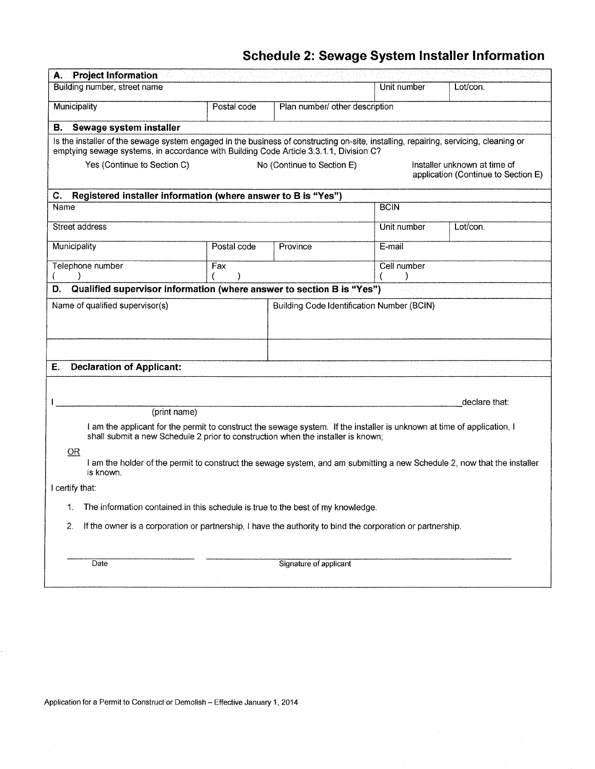# Schedule 2: Sewage System lnstaller lnformation

| <b>Project Information</b><br>Α.                                                                                                                                                                                                  |                                                                                                                                  |                                |             |               |  |  |  |  |
|-----------------------------------------------------------------------------------------------------------------------------------------------------------------------------------------------------------------------------------|----------------------------------------------------------------------------------------------------------------------------------|--------------------------------|-------------|---------------|--|--|--|--|
| Building number, street name                                                                                                                                                                                                      |                                                                                                                                  |                                | Unit number | Lot/con.      |  |  |  |  |
| Municipality                                                                                                                                                                                                                      | Postal code                                                                                                                      | Plan number/ other description |             |               |  |  |  |  |
| Sewage system installer<br>В.                                                                                                                                                                                                     |                                                                                                                                  |                                |             |               |  |  |  |  |
| Is the installer of the sewage system engaged in the business of constructing on-site, installing, repairing, servicing, cleaning or<br>emptying sewage systems, in accordance with Building Code Article 3.3.1.1, Division C?    |                                                                                                                                  |                                |             |               |  |  |  |  |
|                                                                                                                                                                                                                                   | Yes (Continue to Section C)<br>Installer unknown at time of<br>No (Continue to Section E)<br>application (Continue to Section E) |                                |             |               |  |  |  |  |
| Registered installer information (where answer to B is "Yes")<br>C.                                                                                                                                                               |                                                                                                                                  |                                |             |               |  |  |  |  |
| Name                                                                                                                                                                                                                              |                                                                                                                                  |                                | <b>BCIN</b> |               |  |  |  |  |
| Street address                                                                                                                                                                                                                    |                                                                                                                                  |                                | Unit number | Lot/con.      |  |  |  |  |
| Municipality                                                                                                                                                                                                                      | Postal code                                                                                                                      | Province                       | E-mail      |               |  |  |  |  |
| Telephone number                                                                                                                                                                                                                  | Fax                                                                                                                              |                                | Cell number |               |  |  |  |  |
| Qualified supervisor information (where answer to section B is "Yes")<br>D.                                                                                                                                                       |                                                                                                                                  |                                |             |               |  |  |  |  |
| Name of qualified supervisor(s)<br><b>Building Code Identification Number (BCIN)</b>                                                                                                                                              |                                                                                                                                  |                                |             |               |  |  |  |  |
| <b>Declaration of Applicant:</b><br>Е.                                                                                                                                                                                            |                                                                                                                                  |                                |             |               |  |  |  |  |
|                                                                                                                                                                                                                                   |                                                                                                                                  |                                |             |               |  |  |  |  |
|                                                                                                                                                                                                                                   |                                                                                                                                  |                                |             | declare that: |  |  |  |  |
| (print name)<br>I am the applicant for the permit to construct the sewage system. If the installer is unknown at time of application, I<br>shall submit a new Schedule 2 prior to construction when the installer is known;<br>OR |                                                                                                                                  |                                |             |               |  |  |  |  |
| I am the holder of the permit to construct the sewage system, and am submitting a new Schedule 2, now that the installer<br>is known.                                                                                             |                                                                                                                                  |                                |             |               |  |  |  |  |
| I certify that:                                                                                                                                                                                                                   |                                                                                                                                  |                                |             |               |  |  |  |  |
| The information contained in this schedule is true to the best of my knowledge.                                                                                                                                                   |                                                                                                                                  |                                |             |               |  |  |  |  |
| 2.<br>If the owner is a corporation or partnership, I have the authority to bind the corporation or partnership.                                                                                                                  |                                                                                                                                  |                                |             |               |  |  |  |  |
| Signature of applicant<br>Date                                                                                                                                                                                                    |                                                                                                                                  |                                |             |               |  |  |  |  |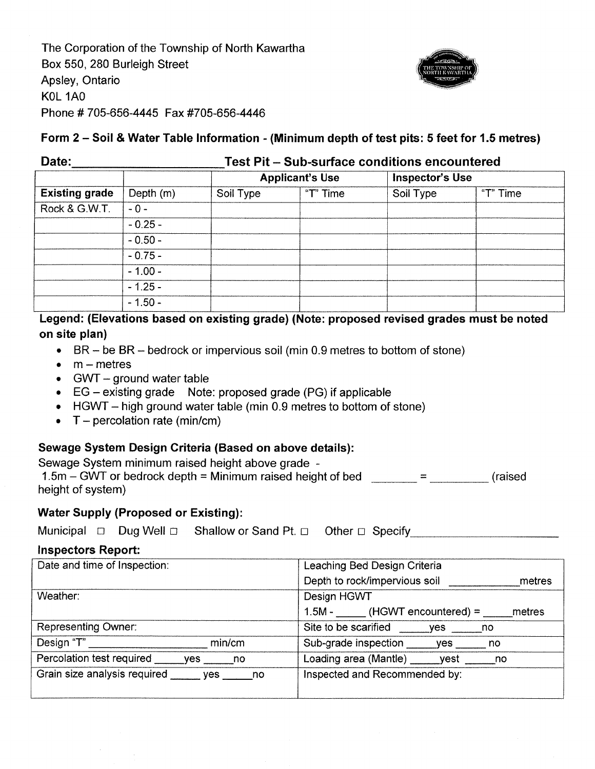The Corporation of the Township of North Kawartha Box 550, 280 Burleigh Street Apsley, Ontario KOL 1AO Phone # 705-656-4445 Fax #705-656-4446



### Form 2 - Soil & Water Table lnformation - (Minimum depth of test pits: 5 feet for 1.5 metres)

| Date:                 |           |           | <b>Test Pit - Sub-surface conditions encountered</b> |                 |          |  |  |  |  |
|-----------------------|-----------|-----------|------------------------------------------------------|-----------------|----------|--|--|--|--|
|                       |           |           | <b>Applicant's Use</b>                               | Inspector's Use |          |  |  |  |  |
| <b>Existing grade</b> | Depth (m) | Soil Type | "T" Time                                             | Soil Type       | "T" Time |  |  |  |  |
| Rock & G.W.T.         | $-0-$     |           |                                                      |                 |          |  |  |  |  |
|                       | $-0.25 -$ |           |                                                      |                 |          |  |  |  |  |
|                       | $-0.50 -$ |           |                                                      |                 |          |  |  |  |  |
|                       | $-0.75-$  |           |                                                      |                 |          |  |  |  |  |
|                       | $-1.00 -$ |           |                                                      |                 |          |  |  |  |  |
|                       | $-1.25 -$ |           |                                                      |                 |          |  |  |  |  |
|                       | $-1.50 -$ |           |                                                      |                 |          |  |  |  |  |

## Legend: (Elevations based on existing grade) (Note: proposed revised grades must be noted on site plan)

- $\bullet$  BR be BR bedrock or impervious soil (min 0.9 metres to bottom of stone)
- $\bullet$  m metres
- $\bullet$  GWT ground water table
- $\bullet$  EG existing grade Note: proposed grade (PG) if applicable
- HGWT high ground water table (min 0.9 metres to bottom of stone) <br>•  $T$  percolation rate (min/cm)
- 

## Sewage System Design Criteria (Based on above details):

Sewage System minimum raised height above grade - 1.5m - GWT or bedrock depth = Minimum raised height of bed height of system) (raised

#### Water Supply (Proposed or Existing):

|  |  |  |  | Municipal □ Dug Well □ Shallow or Sand Pt. □ Other □ Specify ______________ |  |
|--|--|--|--|-----------------------------------------------------------------------------|--|
|--|--|--|--|-----------------------------------------------------------------------------|--|

#### lnspectors Report:

| Date and time of Inspection:              | Leaching Bed Design Criteria            |  |  |  |
|-------------------------------------------|-----------------------------------------|--|--|--|
|                                           | Depth to rock/impervious soil<br>metres |  |  |  |
| Weather:                                  | Design HGWT                             |  |  |  |
|                                           | $1.5M -$ (HGWT encountered) =<br>metres |  |  |  |
| Representing Owner:                       | Site to be scarified<br>ves<br>no no    |  |  |  |
| Design "T"<br>min/cm                      | Sub-grade inspection yes<br>no          |  |  |  |
| Percolation test required<br>ves<br>no no | Loading area (Mantle) yest<br>no no     |  |  |  |
| Grain size analysis required<br>yes no    | Inspected and Recommended by:           |  |  |  |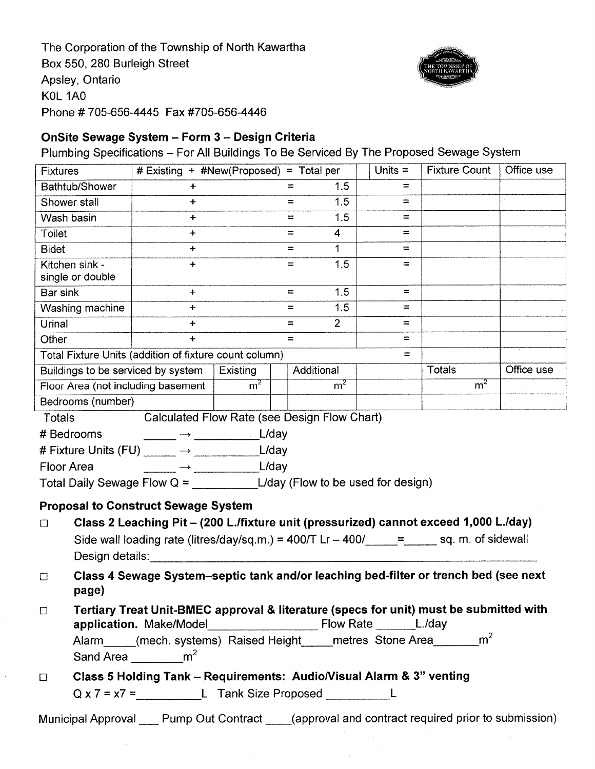The Corporation of the Township of North Kawartha Box 550, 280 Burleigh Street Apsley, Ontario KOL 1AO Phone # 705-656-4445 Fax #705-656-4446



# OnSite Sewage System - Form 3 - Design Criteria

Plumbing Specifications - For All Buildings To Be Serviced By The Proposed Sewage System

| <b>Fixtures</b>                                                                                  | # Existing + #New(Proposed) = Total per                                              |                |     |                | Units $=$ | <b>Fixture Count</b> | Office use |
|--------------------------------------------------------------------------------------------------|--------------------------------------------------------------------------------------|----------------|-----|----------------|-----------|----------------------|------------|
| Bathtub/Shower                                                                                   | $\ddot{}$                                                                            |                | $=$ | 1.5            | $=$       |                      |            |
| Shower stall                                                                                     | $\ddag$                                                                              |                | $=$ | 1.5            | H         |                      |            |
| Wash basin                                                                                       | $\ddot{}$                                                                            |                | H   | 1.5            | $=$       |                      |            |
| Toilet                                                                                           | $+$                                                                                  |                | $=$ | 4              | $=$       |                      |            |
| <b>Bidet</b>                                                                                     | $\ddot{\phantom{1}}$                                                                 |                | $=$ | 1              | H         |                      |            |
| Kitchen sink -<br>single or double                                                               | $+$                                                                                  |                | $=$ | 1.5            | $\equiv$  |                      |            |
| Bar sink                                                                                         | $+$                                                                                  |                | $=$ | 1.5            | $=$       |                      |            |
| Washing machine                                                                                  | $\ddot{}$                                                                            |                | $=$ | 1.5            | $\equiv$  |                      |            |
| Urinal                                                                                           | $+$                                                                                  |                | $=$ | $\overline{2}$ | $=$       |                      |            |
| Other                                                                                            | $+$                                                                                  |                | $=$ |                | $=$       |                      |            |
| Total Fixture Units (addition of fixture count column)                                           |                                                                                      |                |     |                | $=$       |                      |            |
| Buildings to be serviced by system                                                               |                                                                                      | Existing       |     | Additional     |           | Totals               | Office use |
| Floor Area (not including basement                                                               |                                                                                      | m <sup>2</sup> |     | m <sup>2</sup> |           | m <sup>2</sup>       |            |
| Bedrooms (number)                                                                                |                                                                                      |                |     |                |           |                      |            |
| Totals                                                                                           | Calculated Flow Rate (see Design Flow Chart)                                         |                |     |                |           |                      |            |
| # Bedrooms                                                                                       |                                                                                      |                |     |                |           |                      |            |
|                                                                                                  |                                                                                      |                |     |                |           |                      |            |
| L/day<br><b>Floor Area</b><br>$\overrightarrow{\phantom{a}}$                                     |                                                                                      |                |     |                |           |                      |            |
|                                                                                                  |                                                                                      |                |     |                |           |                      |            |
| <b>Proposal to Construct Sewage System</b>                                                       |                                                                                      |                |     |                |           |                      |            |
| Class 2 Leaching Pit - (200 L./fixture unit (pressurized) cannot exceed 1,000 L./day)<br>$\Box$  |                                                                                      |                |     |                |           |                      |            |
| Side wall loading rate (litres/day/sq.m.) = $400/T$ Lr $- 400/$ = $=$ sq. m. of sidewall         |                                                                                      |                |     |                |           |                      |            |
| Design details:                                                                                  |                                                                                      |                |     |                |           |                      |            |
| $\Box$                                                                                           | Class 4 Sewage System-septic tank and/or leaching bed-filter or trench bed (see next |                |     |                |           |                      |            |
| page)                                                                                            |                                                                                      |                |     |                |           |                      |            |
| Tertiary Treat Unit-BMEC approval & literature (specs for unit) must be submitted with<br>$\Box$ |                                                                                      |                |     |                |           |                      |            |
|                                                                                                  |                                                                                      |                |     |                |           |                      |            |
| Alarm_____(mech. systems) Raised Height_____metres Stone Area________m <sup>2</sup>              |                                                                                      |                |     |                |           |                      |            |
|                                                                                                  | Sand Area $\frac{m^2}{2}$                                                            |                |     |                |           |                      |            |
| $\Box$                                                                                           | Class 5 Holding Tank - Requirements: Audio/Visual Alarm & 3" venting                 |                |     |                |           |                      |            |
| $Q \times 7 = \times 7 =$ L Tank Size Proposed L                                                 |                                                                                      |                |     |                |           |                      |            |
| Municipal Approval Pump Out Contract (approval and contract required prior to submission)        |                                                                                      |                |     |                |           |                      |            |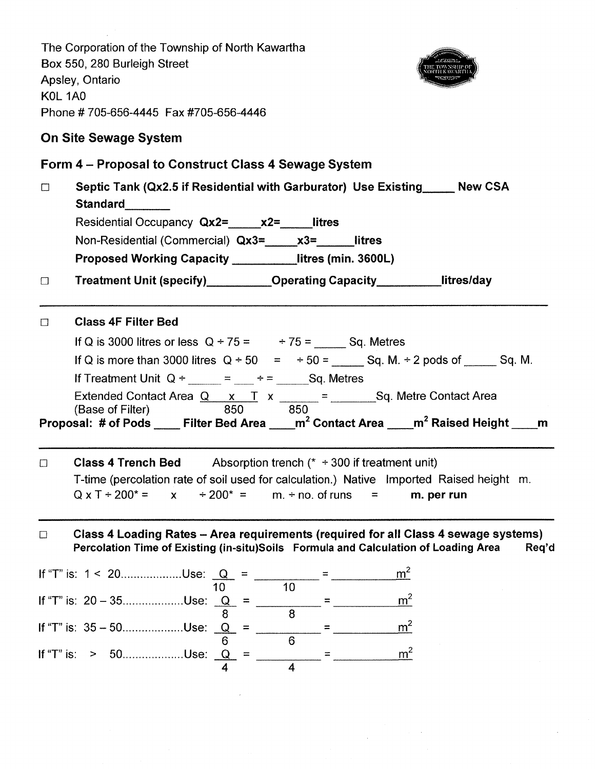The Corporation of the Township of North Kawartha Box 550, 280 Burleigh Street Apsley, Ontario KOL 1AO Phone # 705-656-4445 Fax #705-656-4446 On Site Sewage System Form 4 - Proposal to Gonstruct Glass 4 Sewage System  $\Box$  Septic Tank (Qx2.5 if Residential with Garburator) Use Existing Mew CSA Standard Residential Occupancy Qx2= x2= litres Non-Residential (Commercial)  $Qx3 = x3 =$  litres Proposed Working Capacity \_\_\_\_\_\_\_\_\_litres (min. 3600L) □ Treatment Unit (specify) Operating Capacity litres/day D Class 4F Filter Bed If Q is 3000 litres or less  $Q \div 75 =$   $\div 75 =$  Sq. Metres If Q is more than 3000 litres  $Q \div 50 = +50 =$  \_\_\_\_\_\_\_ Sq. M.  $\div 2$  pods of \_\_\_\_\_\_ Sq. M lf Treatment Unit Q ÷ \_\_\_\_\_ = \_\_\_ ÷ = \_\_\_\_ Sq. Metres Extended Contact Area  $Q \times T \times$  \_\_\_\_\_\_ = \_\_\_\_\_\_\_\_Sq. Metre Contact Area 850 (Base of Filter) 850 Proposal: # of Pods \_\_\_\_ Filter Bed Area \_\_\_\_m<sup>2</sup> Contact Area \_\_\_\_m<sup>2</sup> Raised Height \_\_\_\_m -m2 -m2  $\Box$  Class 4 Trench Bed Absorption trench (\*  $\div$  300 if treatment unit) T-time (percolation rate of soil used for calculation.) Native lmported Raised height m.  $Q \times T + 200^* = \times \times 200^* = \times m + \text{no. of runs} = \times m$ . per run  $\Box$  Class 4 Loading Rates – Area requirements (required for all Class 4 sewage systems) Percolation Time of Existing (in-situ)Soils Formula and Calculation of Loading Area Req'd Q=  $m<sup>2</sup>$ 10 10 If "T" is: 20 – 35..................Use:  $\frac{Q}{8}$  =  $\frac{20}{8}$  =  $\frac{20}{8}$ mo<br>Q =  $m<sup>2</sup>$  $=$ 6  $\overline{\mathsf{Q}}_{-}$ m-4 4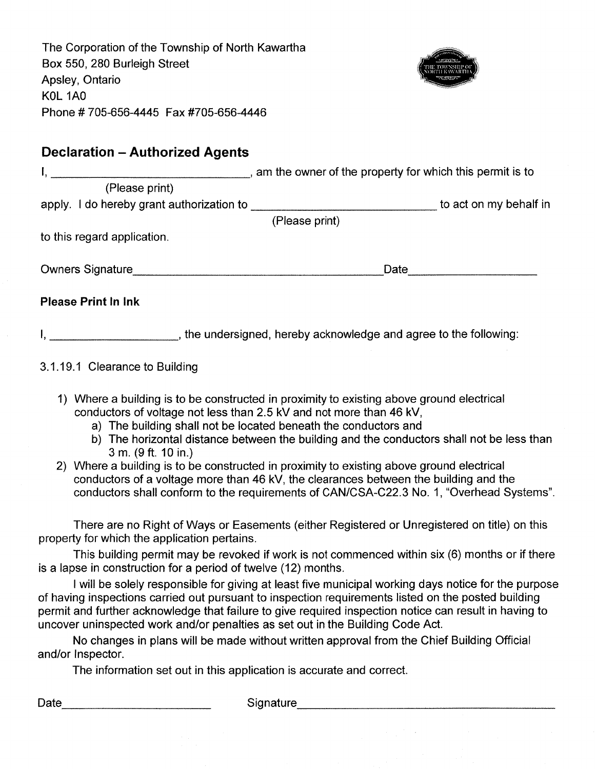The Corporation of the Township of North Kawartha Box 550, 280 Burleigh Street Apsley, Ontario KOL 1AO Phone #705-656-4445 Fax #705-656-4446



# Declaration - Authorized Agents

| and the contract of the contract of the contract of the contract of the contract of the contract of the contract of the contract of the contract of the contract of the contract of the contract of the contract of the contra       | , am the owner of the property for which this permit is to        |                        |  |  |  |
|--------------------------------------------------------------------------------------------------------------------------------------------------------------------------------------------------------------------------------------|-------------------------------------------------------------------|------------------------|--|--|--|
| (Please print)                                                                                                                                                                                                                       |                                                                   |                        |  |  |  |
| apply. I do hereby grant authorization to <b>contract and the example and the example and the example and the example and the example and the example and the example and the example and the example and the example and the ex</b> |                                                                   | to act on my behalf in |  |  |  |
|                                                                                                                                                                                                                                      | (Please print)                                                    |                        |  |  |  |
| to this regard application.                                                                                                                                                                                                          |                                                                   |                        |  |  |  |
| <b>Owners Signature</b>                                                                                                                                                                                                              | Date                                                              |                        |  |  |  |
| <b>Please Print In Ink</b>                                                                                                                                                                                                           |                                                                   |                        |  |  |  |
|                                                                                                                                                                                                                                      | , the undersigned, hereby acknowledge and agree to the following: |                        |  |  |  |

## 3.1.19.1 Clearance to Building

- 1) Where a building is to be constructed in proximity to existing above ground electrica conductors of voltage not less than 2.5 kV and not more than 46 kV,
	- a) The building shall not be located beneath the conductors and
	- b) The horizontal distance between the building and the conductors shall not be less than 3 m. (9 ft. 10 in.)
- Where a building is to be constructed in proximity to existing above ground electrical 2) conductors of a voltage more than 46 kV, the clearances between the building and the conductors shall conform to the requirements of CAN/CSA-C22.3 No. 1, "Overhead Systems"

There are no Right of Ways or Easements (either Registered or Unregistered on title) on this property for which the application pertains.

This building permit may be revoked if work is not commenced within six (6) months or if there is a lapse in construction for a period of twelve (12) months.

I will be solely responsible for giving at least five municipal working days notice for the purpose of having inspections carried out pursuant to inspection requirements listed on the posted building permit and further acknowledge that failure to give required inspection notice can result in having to uncover uninspected work and/or penalties as set out in the Building Code Act.

No changes in plans will be made without written approval from the Chief Building Official and/or lnspector.

The information set out in this application is accurate and correct.

Date Signature Signature